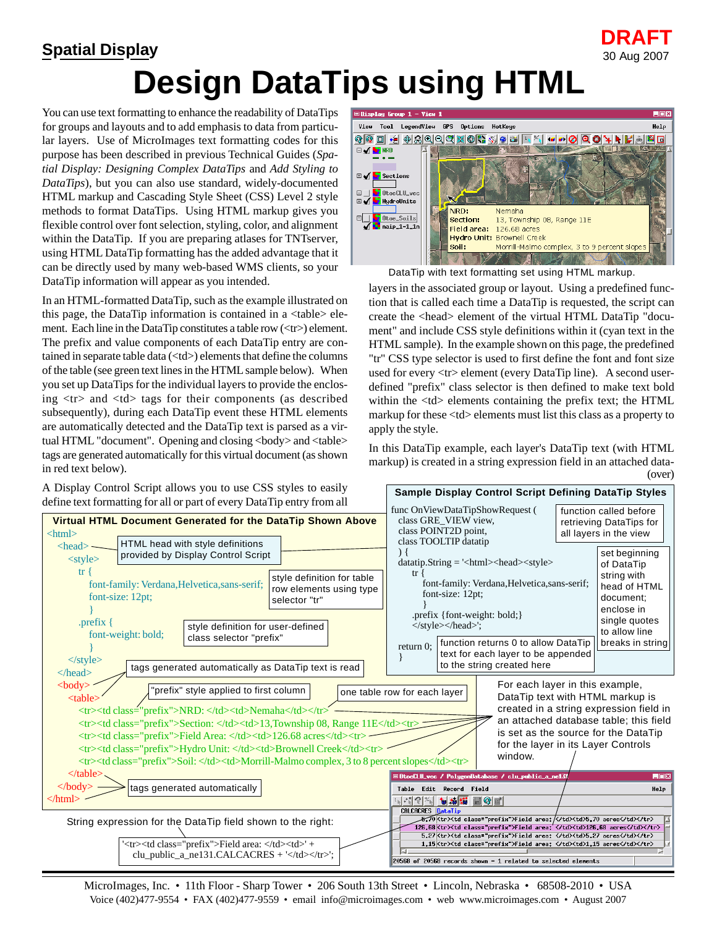## **Design DataTips using HTML DRAFT Spatial Display** 30 Aug 2007

You can use text formatting to enhance the readability of DataTips for groups and layouts and to add emphasis to data from particular layers. Use of MicroImages text formatting codes for this purpose has been described in previous Technical Guides (*Spatial Display: Designing Complex DataTips* and *Add Styling to DataTips*), but you can also use standard, widely-documented HTML markup and Cascading Style Sheet (CSS) Level 2 style methods to format DataTips. Using HTML markup gives you flexible control over font selection, styling, color, and alignment within the DataTip. If you are preparing atlases for TNTserver, using HTML DataTip formatting has the added advantage that it can be directly used by many web-based WMS clients, so your DataTip information will appear as you intended.

In an HTML-formatted DataTip, such as the example illustrated on this page, the DataTip information is contained in a <table> element. Each line in the DataTip constitutes a table row (<tr>) element. The prefix and value components of each DataTip entry are contained in separate table data (<td>) elements that define the columns of the table (see green text lines in the HTML sample below). When you set up DataTips for the individual layers to provide the enclosing  $\langle$ tr $>$  and  $\langle$ td $>$  tags for their components (as described subsequently), during each DataTip event these HTML elements are automatically detected and the DataTip text is parsed as a virtual HTML "document". Opening and closing <br/>body> and <table> tags are generated automatically for this virtual document (as shown in red text below).

A Display Control Script allows you to use CSS styles to easily



DataTip with text formatting set using HTML markup.

layers in the associated group or layout. Using a predefined function that is called each time a DataTip is requested, the script can create the <head> element of the virtual HTML DataTip "document" and include CSS style definitions within it (cyan text in the HTML sample). In the example shown on this page, the predefined "tr" CSS type selector is used to first define the font and font size used for every  $\langle$ tr $>$  element (every DataTip line). A second userdefined "prefix" class selector is then defined to make text bold within the  $\langle$ td $\rangle$  elements containing the prefix text; the HTML markup for these <td> elements must list this class as a property to apply the style.

In this DataTip example, each layer's DataTip text (with HTML markup) is created in a string expression field in an attached data- (over)



MicroImages, Inc. • 11th Floor - Sharp Tower • 206 South 13th Street • Lincoln, Nebraska • 68508-2010 • USA Voice (402)477-9554 • FAX (402)477-9559 • email info@microimages.com • web www.microimages.com • August 2007